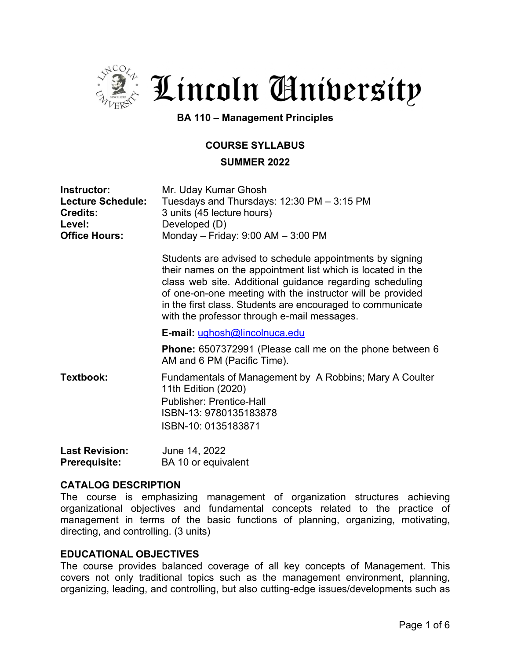

. Lincoln Gnibersity

**BA 110 – Management Principles**

## **COURSE SYLLABUS**

### **SUMMER 2022**

| Instructor:<br><b>Lecture Schedule:</b><br><b>Credits:</b><br>Level:<br><b>Office Hours:</b> | Mr. Uday Kumar Ghosh<br>Tuesdays and Thursdays: 12:30 PM - 3:15 PM<br>3 units (45 lecture hours)<br>Developed (D)<br>Monday - Friday: $9:00$ AM - $3:00$ PM                                                                                                                                                                                                    |
|----------------------------------------------------------------------------------------------|----------------------------------------------------------------------------------------------------------------------------------------------------------------------------------------------------------------------------------------------------------------------------------------------------------------------------------------------------------------|
|                                                                                              | Students are advised to schedule appointments by signing<br>their names on the appointment list which is located in the<br>class web site. Additional guidance regarding scheduling<br>of one-on-one meeting with the instructor will be provided<br>in the first class. Students are encouraged to communicate<br>with the professor through e-mail messages. |
|                                                                                              | E-mail: ughosh@lincolnuca.edu                                                                                                                                                                                                                                                                                                                                  |
|                                                                                              | <b>Phone:</b> 6507372991 (Please call me on the phone between 6<br>AM and 6 PM (Pacific Time).                                                                                                                                                                                                                                                                 |
| Textbook:                                                                                    | Fundamentals of Management by A Robbins; Mary A Coulter<br>11th Edition (2020)<br><b>Publisher: Prentice-Hall</b><br>ISBN-13: 9780135183878<br>ISBN-10: 0135183871                                                                                                                                                                                             |
| <b>Last Revision:</b>                                                                        | June 14, 2022                                                                                                                                                                                                                                                                                                                                                  |

## **CATALOG DESCRIPTION**

**Prerequisite:** BA 10 or equivalent

The course is emphasizing management of organization structures achieving organizational objectives and fundamental concepts related to the practice of management in terms of the basic functions of planning, organizing, motivating, directing, and controlling. (3 units)

## **EDUCATIONAL OBJECTIVES**

The course provides balanced coverage of all key concepts of Management. This covers not only traditional topics such as the management environment, planning, organizing, leading, and controlling, but also cutting-edge issues/developments such as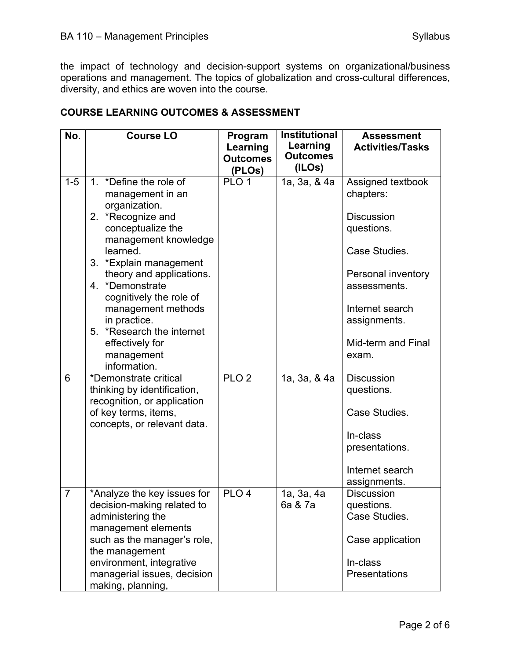the impact of technology and decision-support systems on organizational/business operations and management. The topics of globalization and cross-cultural differences, diversity, and ethics are woven into the course.

|  | <b>COURSE LEARNING OUTCOMES &amp; ASSESSMENT</b> |
|--|--------------------------------------------------|
|--|--------------------------------------------------|

| No.            | <b>Course LO</b>                                                                                                                                                                                                                                                                                                                                                  | Program<br>Learning<br><b>Outcomes</b><br>(PLOs) | <b>Institutional</b><br>Learning<br><b>Outcomes</b><br>(ILOs) | <b>Assessment</b><br><b>Activities/Tasks</b>                                                                                                                                               |
|----------------|-------------------------------------------------------------------------------------------------------------------------------------------------------------------------------------------------------------------------------------------------------------------------------------------------------------------------------------------------------------------|--------------------------------------------------|---------------------------------------------------------------|--------------------------------------------------------------------------------------------------------------------------------------------------------------------------------------------|
| $1 - 5$        | 1. *Define the role of<br>management in an<br>organization.<br>2. *Recognize and<br>conceptualize the<br>management knowledge<br>learned.<br>3. *Explain management<br>theory and applications.<br>4. *Demonstrate<br>cognitively the role of<br>management methods<br>in practice.<br>5. *Research the internet<br>effectively for<br>management<br>information. | PLO <sub>1</sub>                                 | 1a, 3a, & 4a                                                  | Assigned textbook<br>chapters:<br><b>Discussion</b><br>questions.<br>Case Studies.<br>Personal inventory<br>assessments.<br>Internet search<br>assignments.<br>Mid-term and Final<br>exam. |
| 6              | *Demonstrate critical<br>thinking by identification,<br>recognition, or application<br>of key terms, items,<br>concepts, or relevant data.                                                                                                                                                                                                                        | PLO <sub>2</sub>                                 | 1a, 3a, & 4a                                                  | <b>Discussion</b><br>questions.<br>Case Studies.<br>In-class<br>presentations.<br>Internet search<br>assignments.                                                                          |
| $\overline{7}$ | *Analyze the key issues for<br>decision-making related to<br>administering the<br>management elements<br>such as the manager's role,<br>the management<br>environment, integrative<br>managerial issues, decision<br>making, planning,                                                                                                                            | PLO <sub>4</sub>                                 | 1a, 3a, 4a<br>6a & 7a                                         | <b>Discussion</b><br>questions.<br>Case Studies.<br>Case application<br>In-class<br>Presentations                                                                                          |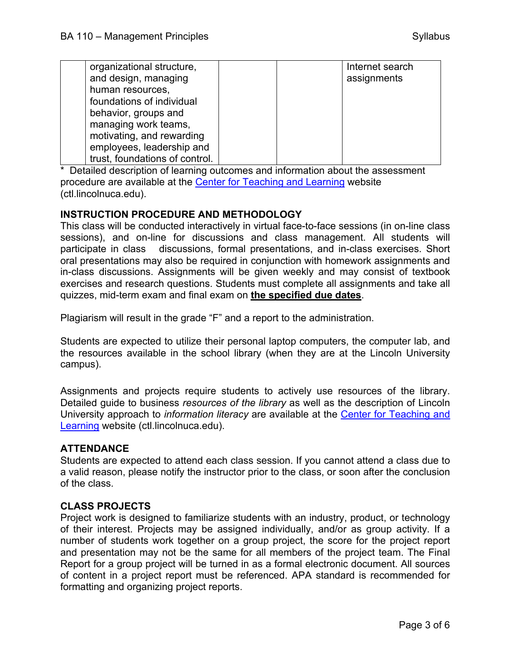| organizational structure,      |  | Internet search |
|--------------------------------|--|-----------------|
| and design, managing           |  | assignments     |
| human resources,               |  |                 |
| foundations of individual      |  |                 |
| behavior, groups and           |  |                 |
| managing work teams,           |  |                 |
| motivating, and rewarding      |  |                 |
| employees, leadership and      |  |                 |
| trust, foundations of control. |  |                 |

\* Detailed description of learning outcomes and information about the assessment procedure are available at the Center for Teaching and Learning website (ctl.lincolnuca.edu).

## **INSTRUCTION PROCEDURE AND METHODOLOGY**

This class will be conducted interactively in virtual face-to-face sessions (in on-line class sessions), and on-line for discussions and class management. All students will participate in class discussions, formal presentations, and in-class exercises. Short oral presentations may also be required in conjunction with homework assignments and in-class discussions. Assignments will be given weekly and may consist of textbook exercises and research questions. Students must complete all assignments and take all quizzes, mid-term exam and final exam on **the specified due dates**.

Plagiarism will result in the grade "F" and a report to the administration.

Students are expected to utilize their personal laptop computers, the computer lab, and the resources available in the school library (when they are at the Lincoln University campus).

Assignments and projects require students to actively use resources of the library. Detailed guide to business *resources of the library* as well as the description of Lincoln University approach to *information literacy* are available at the Center for Teaching and Learning website (ctl.lincolnuca.edu).

## **ATTENDANCE**

Students are expected to attend each class session. If you cannot attend a class due to a valid reason, please notify the instructor prior to the class, or soon after the conclusion of the class.

#### **CLASS PROJECTS**

Project work is designed to familiarize students with an industry, product, or technology of their interest. Projects may be assigned individually, and/or as group activity. If a number of students work together on a group project, the score for the project report and presentation may not be the same for all members of the project team. The Final Report for a group project will be turned in as a formal electronic document. All sources of content in a project report must be referenced. APA standard is recommended for formatting and organizing project reports.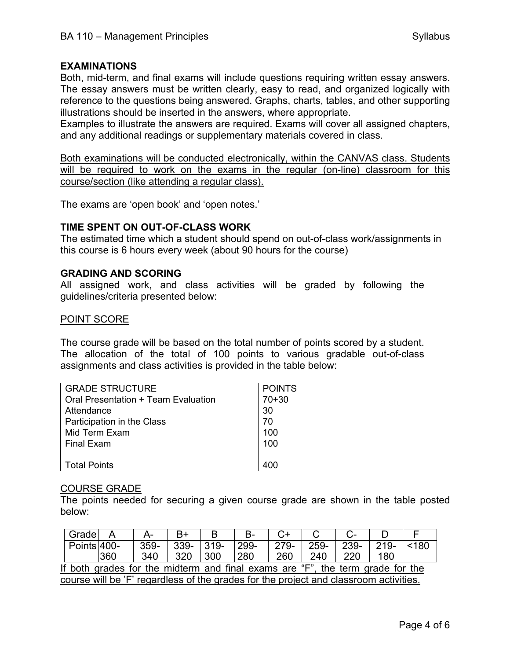### **EXAMINATIONS**

Both, mid-term, and final exams will include questions requiring written essay answers. The essay answers must be written clearly, easy to read, and organized logically with reference to the questions being answered. Graphs, charts, tables, and other supporting illustrations should be inserted in the answers, where appropriate.

Examples to illustrate the answers are required. Exams will cover all assigned chapters, and any additional readings or supplementary materials covered in class.

Both examinations will be conducted electronically, within the CANVAS class. Students will be required to work on the exams in the regular (on-line) classroom for this course/section (like attending a regular class).

The exams are 'open book' and 'open notes.'

#### **TIME SPENT ON OUT-OF-CLASS WORK**

The estimated time which a student should spend on out-of-class work/assignments in this course is 6 hours every week (about 90 hours for the course)

#### **GRADING AND SCORING**

All assigned work, and class activities will be graded by following the guidelines/criteria presented below:

#### POINT SCORE

The course grade will be based on the total number of points scored by a student. The allocation of the total of 100 points to various gradable out-of-class assignments and class activities is provided in the table below:

| <b>GRADE STRUCTURE</b>              | <b>POINTS</b> |
|-------------------------------------|---------------|
| Oral Presentation + Team Evaluation | $70 + 30$     |
| Attendance                          | 30            |
| Participation in the Class          | 70            |
| Mid Term Exam                       | 100           |
| <b>Final Exam</b>                   | 100           |
|                                     |               |
| <b>Total Points</b>                 | 400           |

#### COURSE GRADE

The points needed for securing a given course grade are shown in the table posted below:

|                                                                                       | Grade       | А   | A-     |      |         | B-   |      |      |      |         |      |
|---------------------------------------------------------------------------------------|-------------|-----|--------|------|---------|------|------|------|------|---------|------|
|                                                                                       | Points 400- |     | $359-$ | 339- | $319 -$ | 299- | 279- | 259- | 239- | $219 -$ | <180 |
|                                                                                       |             | 360 | 340    | 320  | 300     | 280  | 260  | 240  | 220  | 180     |      |
| If both grades for the midterm and final exams are "F", the term grade for the        |             |     |        |      |         |      |      |      |      |         |      |
| course will be 'F' regardless of the grades for the project and classroom activities. |             |     |        |      |         |      |      |      |      |         |      |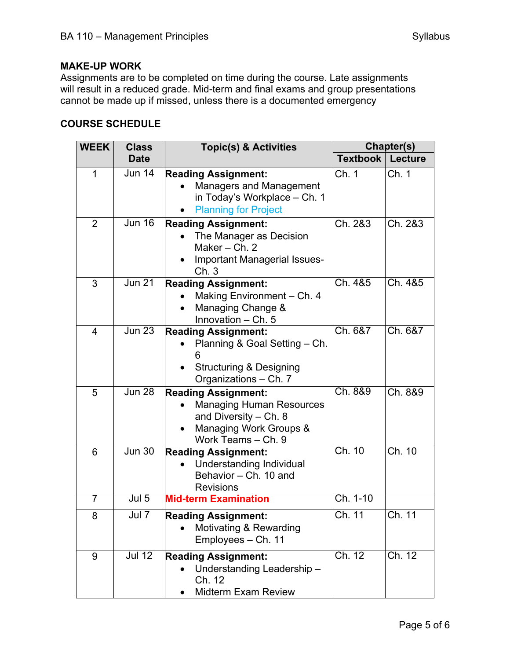# **MAKE-UP WORK**

Assignments are to be completed on time during the course. Late assignments will result in a reduced grade. Mid-term and final exams and group presentations cannot be made up if missed, unless there is a documented emergency

## **COURSE SCHEDULE**

| <b>WEEK</b>    | <b>Class</b>                 | <b>Topic(s) &amp; Activities</b>                                                                                                         | Chapter(s)              |         |  |
|----------------|------------------------------|------------------------------------------------------------------------------------------------------------------------------------------|-------------------------|---------|--|
|                | <b>Date</b>                  |                                                                                                                                          | <b>Textbook Lecture</b> |         |  |
| 1              | Jun 14                       | <b>Reading Assignment:</b><br><b>Managers and Management</b><br>in Today's Workplace - Ch. 1<br><b>Planning for Project</b>              | Ch. 1                   | Ch. 1   |  |
| $\overline{2}$ | <b>Jun 16</b>                | <b>Reading Assignment:</b><br>The Manager as Decision<br>Maker-Ch. 2<br>Important Managerial Issues-<br>Ch.3                             | Ch. 2&3                 | Ch. 2&3 |  |
| 3              | <b>Jun 21</b>                | <b>Reading Assignment:</b><br>Making Environment - Ch. 4<br>Managing Change &<br>Innovation - Ch. 5                                      | Ch. 4&5                 | Ch. 4&5 |  |
| 4              | Jun 23                       | <b>Reading Assignment:</b><br>Planning & Goal Setting - Ch.<br>6<br><b>Structuring &amp; Designing</b><br>Organizations - Ch. 7          | Ch. 6&7                 | Ch. 6&7 |  |
| 5              | <b>Jun 28</b>                | <b>Reading Assignment:</b><br><b>Managing Human Resources</b><br>and Diversity $-$ Ch. 8<br>Managing Work Groups &<br>Work Teams - Ch. 9 | Ch. 8&9                 | Ch. 8&9 |  |
| 6              | Jun 30                       | <b>Reading Assignment:</b><br>Understanding Individual<br>Behavior - Ch. 10 and<br><b>Revisions</b>                                      | Ch. 10                  | Ch. 10  |  |
| $\overline{7}$ | Jul 5                        | <b>Mid-term Examination</b>                                                                                                              | Ch. 1-10                |         |  |
| 8              | $J\overline{u\overline{17}}$ | <b>Reading Assignment:</b><br>Motivating & Rewarding<br>Employees - Ch. 11                                                               | Ch. 11                  | Ch. 11  |  |
| 9              | <b>Jul 12</b>                | <b>Reading Assignment:</b><br>Understanding Leadership-<br>Ch. 12<br><b>Midterm Exam Review</b>                                          | Ch. 12                  | Ch. 12  |  |